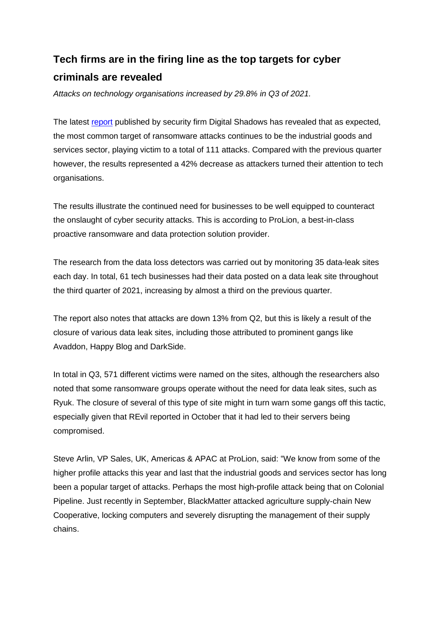## **Tech firms are in the firing line as the top targets for cyber criminals are revealed**

*Attacks on technology organisations increased by 29.8% in Q3 of 2021.*

The latest [report](https://www.digitalshadows.com/blog-and-research/ransomware-q3-2021-roll-up/) published by security firm Digital Shadows has revealed that as expected, the most common target of ransomware attacks continues to be the industrial goods and services sector, playing victim to a total of 111 attacks. Compared with the previous quarter however, the results represented a 42% decrease as attackers turned their attention to tech organisations.

The results illustrate the continued need for businesses to be well equipped to counteract the onslaught of cyber security attacks. This is according to ProLion, a best-in-class proactive ransomware and data protection solution provider.

The research from the data loss detectors was carried out by monitoring 35 data-leak sites each day. In total, 61 tech businesses had their data posted on a data leak site throughout the third quarter of 2021, increasing by almost a third on the previous quarter.

The report also notes that attacks are down 13% from Q2, but this is likely a result of the closure of various data leak sites, including those attributed to prominent gangs like Avaddon, Happy Blog and DarkSide.

In total in Q3, 571 different victims were named on the sites, although the researchers also noted that some ransomware groups operate without the need for data leak sites, such as Ryuk. The closure of several of this type of site might in turn warn some gangs off this tactic, especially given that REvil reported in October that it had led to their servers being compromised.

Steve Arlin, VP Sales, UK, Americas & APAC at ProLion, said: "We know from some of the higher profile attacks this year and last that the industrial goods and services sector has long been a popular target of attacks. Perhaps the most high-profile attack being that on Colonial Pipeline. Just recently in September, BlackMatter attacked agriculture supply-chain New Cooperative, locking computers and severely disrupting the management of their supply chains.